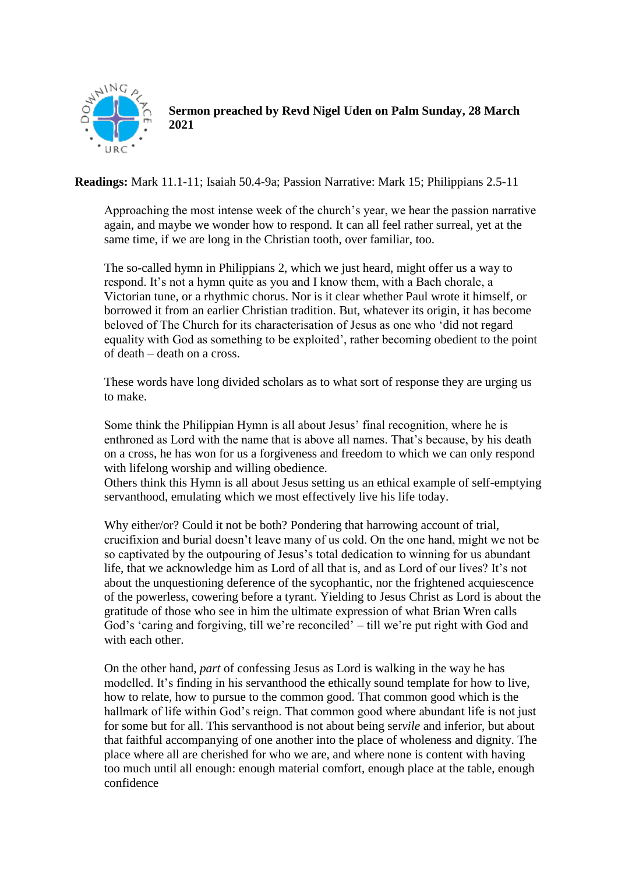

## **Sermon preached by Revd Nigel Uden on Palm Sunday, 28 March 2021**

**Readings:** Mark 11.1-11; Isaiah 50.4-9a; Passion Narrative: Mark 15; Philippians 2.5-11

Approaching the most intense week of the church's year, we hear the passion narrative again, and maybe we wonder how to respond. It can all feel rather surreal, yet at the same time, if we are long in the Christian tooth, over familiar, too.

The so-called hymn in Philippians 2, which we just heard, might offer us a way to respond. It's not a hymn quite as you and I know them, with a Bach chorale, a Victorian tune, or a rhythmic chorus. Nor is it clear whether Paul wrote it himself, or borrowed it from an earlier Christian tradition. But, whatever its origin, it has become beloved of The Church for its characterisation of Jesus as one who 'did not regard equality with God as something to be exploited', rather becoming obedient to the point of death – death on a cross.

These words have long divided scholars as to what sort of response they are urging us to make.

Some think the Philippian Hymn is all about Jesus' final recognition, where he is enthroned as Lord with the name that is above all names. That's because, by his death on a cross, he has won for us a forgiveness and freedom to which we can only respond with lifelong worship and willing obedience.

Others think this Hymn is all about Jesus setting us an ethical example of self-emptying servanthood, emulating which we most effectively live his life today.

Why either/or? Could it not be both? Pondering that harrowing account of trial, crucifixion and burial doesn't leave many of us cold. On the one hand, might we not be so captivated by the outpouring of Jesus's total dedication to winning for us abundant life, that we acknowledge him as Lord of all that is, and as Lord of our lives? It's not about the unquestioning deference of the sycophantic, nor the frightened acquiescence of the powerless, cowering before a tyrant. Yielding to Jesus Christ as Lord is about the gratitude of those who see in him the ultimate expression of what Brian Wren calls God's 'caring and forgiving, till we're reconciled' – till we're put right with God and with each other.

On the other hand, *part* of confessing Jesus as Lord is walking in the way he has modelled. It's finding in his servanthood the ethically sound template for how to live, how to relate, how to pursue to the common good. That common good which is the hallmark of life within God's reign. That common good where abundant life is not just for some but for all. This servanthood is not about being ser*vile* and inferior, but about that faithful accompanying of one another into the place of wholeness and dignity. The place where all are cherished for who we are, and where none is content with having too much until all enough: enough material comfort, enough place at the table, enough confidence